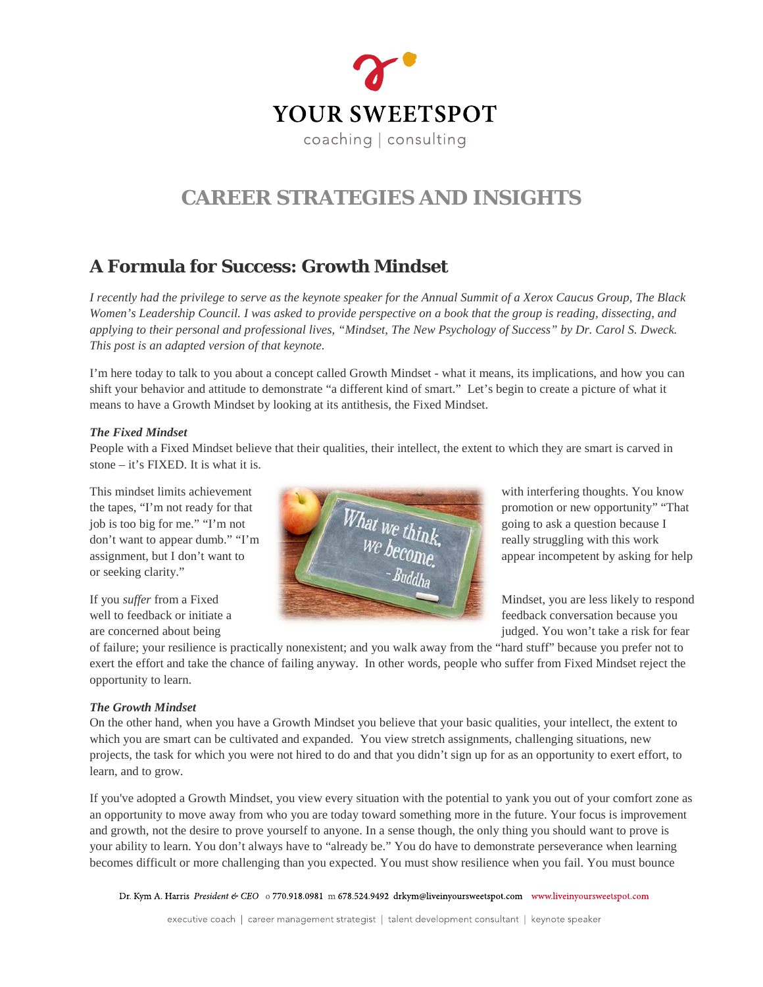

# **CAREER STRATEGIES AND INSIGHTS**

## **A Formula for Success: Growth Mindset**

*I recently had the privilege to serve as the keynote speaker for the Annual Summit of a Xerox Caucus Group, The Black Women's Leadership Council. I was asked to provide perspective on a book that the group is reading, dissecting, and applying to their personal and professional lives, "Mindset, The New Psychology of Success" by Dr. Carol S. Dweck. This post is an adapted version of that keynote.*

I'm here today to talk to you about a concept called Growth Mindset - what it means, its implications, and how you can shift your behavior and attitude to demonstrate "a different kind of smart." Let's begin to create a picture of what it means to have a Growth Mindset by looking at its antithesis, the Fixed Mindset.

#### *The Fixed Mindset*

People with a Fixed Mindset believe that their qualities, their intellect, the extent to which they are smart is carved in stone – it's FIXED. It is what it is.

or seeking clarity."



are concerned about being in the set of the set of the set of the set of the set of the set of the set of the set of the set of the set of the set of the set of the set of the set of the set of the set of the set of the se

of failure; your resilience is practically nonexistent; and you walk away from the "hard stuff" because you prefer not to exert the effort and take the chance of failing anyway. In other words, people who suffer from Fixed Mindset reject the opportunity to learn.

### *The Growth Mindset*

On the other hand, when you have a Growth Mindset you believe that your basic qualities, your intellect, the extent to which you are smart can be cultivated and expanded. You view stretch assignments, challenging situations, new projects, the task for which you were not hired to do and that you didn't sign up for as an opportunity to exert effort, to learn, and to grow.

If you've adopted a Growth Mindset, you view every situation with the potential to yank you out of your comfort zone as an opportunity to move away from who you are today toward something more in the future. Your focus is improvement and growth, not the desire to prove yourself to anyone. In a sense though, the only thing you should want to prove is your ability to learn. You don't always have to "already be." You do have to demonstrate perseverance when learning becomes difficult or more challenging than you expected. You must show resilience when you fail. You must bounce

Dr. Kym A. Harris President & CEO 0770.918.0981 m 678.524.9492 drkym@liveinyoursweetspot.com www.liveinyoursweetspot.com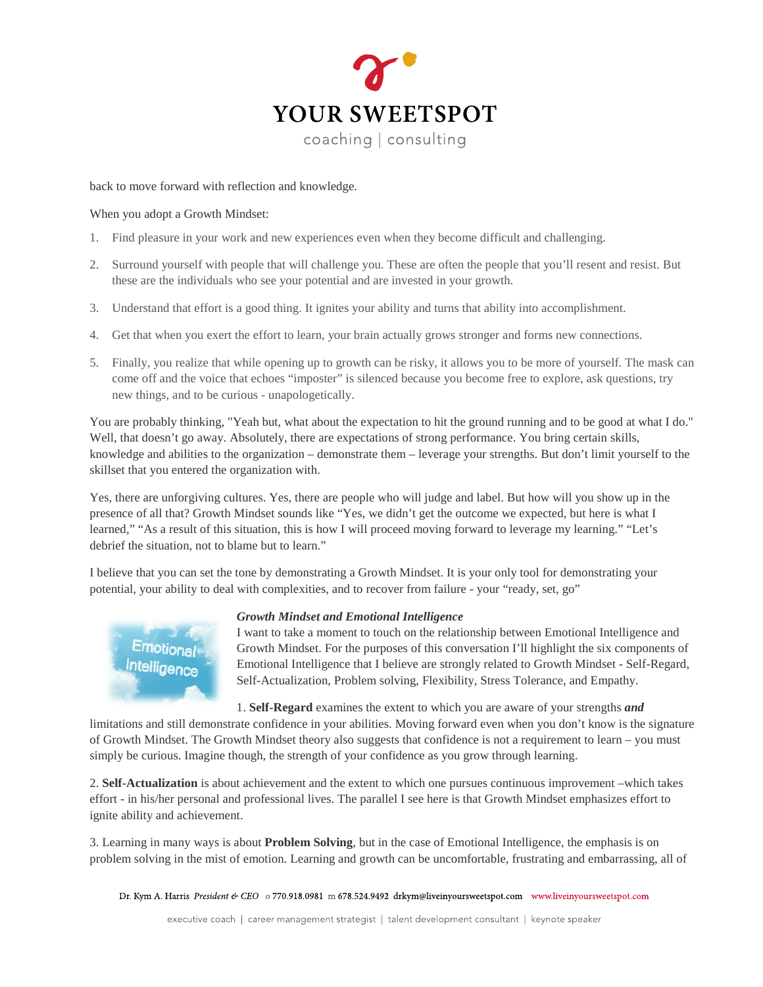

back to move forward with reflection and knowledge.

When you adopt a Growth Mindset:

- 1. Find pleasure in your work and new experiences even when they become difficult and challenging.
- 2. Surround yourself with people that will challenge you. These are often the people that you'll resent and resist. But these are the individuals who see your potential and are invested in your growth.
- 3. Understand that effort is a good thing. It ignites your ability and turns that ability into accomplishment.
- 4. Get that when you exert the effort to learn, your brain actually grows stronger and forms new connections.
- 5. Finally, you realize that while opening up to growth can be risky, it allows you to be more of yourself. The mask can come off and the voice that echoes "imposter" is silenced because you become free to explore, ask questions, try new things, and to be curious - unapologetically.

You are probably thinking, "Yeah but, what about the expectation to hit the ground running and to be good at what I do." Well, that doesn't go away. Absolutely, there are expectations of strong performance. You bring certain skills, knowledge and abilities to the organization – demonstrate them – leverage your strengths. But don't limit yourself to the skillset that you entered the organization with.

Yes, there are unforgiving cultures. Yes, there are people who will judge and label. But how will you show up in the presence of all that? Growth Mindset sounds like "Yes, we didn't get the outcome we expected, but here is what I learned," "As a result of this situation, this is how I will proceed moving forward to leverage my learning." "Let's debrief the situation, not to blame but to learn."

I believe that you can set the tone by demonstrating a Growth Mindset. It is your only tool for demonstrating your potential, your ability to deal with complexities, and to recover from failure - your "ready, set, go"



*Growth Mindset and Emotional Intelligence*

I want to take a moment to touch on the relationship between Emotional Intelligence and Growth Mindset. For the purposes of this conversation I'll highlight the six components of Emotional Intelligence that I believe are strongly related to Growth Mindset - Self-Regard, Self-Actualization, Problem solving, Flexibility, Stress Tolerance, and Empathy.

1. **Self-Regard** examines the extent to which you are aware of your strengths *and*

limitations and still demonstrate confidence in your abilities. Moving forward even when you don't know is the signature of Growth Mindset. The Growth Mindset theory also suggests that confidence is not a requirement to learn – you must simply be curious. Imagine though, the strength of your confidence as you grow through learning.

2. **Self-Actualization** is about achievement and the extent to which one pursues continuous improvement –which takes effort - in his/her personal and professional lives. The parallel I see here is that Growth Mindset emphasizes effort to ignite ability and achievement.

3. Learning in many ways is about **Problem Solving**, but in the case of Emotional Intelligence, the emphasis is on problem solving in the mist of emotion. Learning and growth can be uncomfortable, frustrating and embarrassing, all of

Dr. Kym A. Harris President & CEO 0770.918.0981 m 678.524.9492 drkym@liveinyoursweetspot.com www.liveinyoursweetspot.com